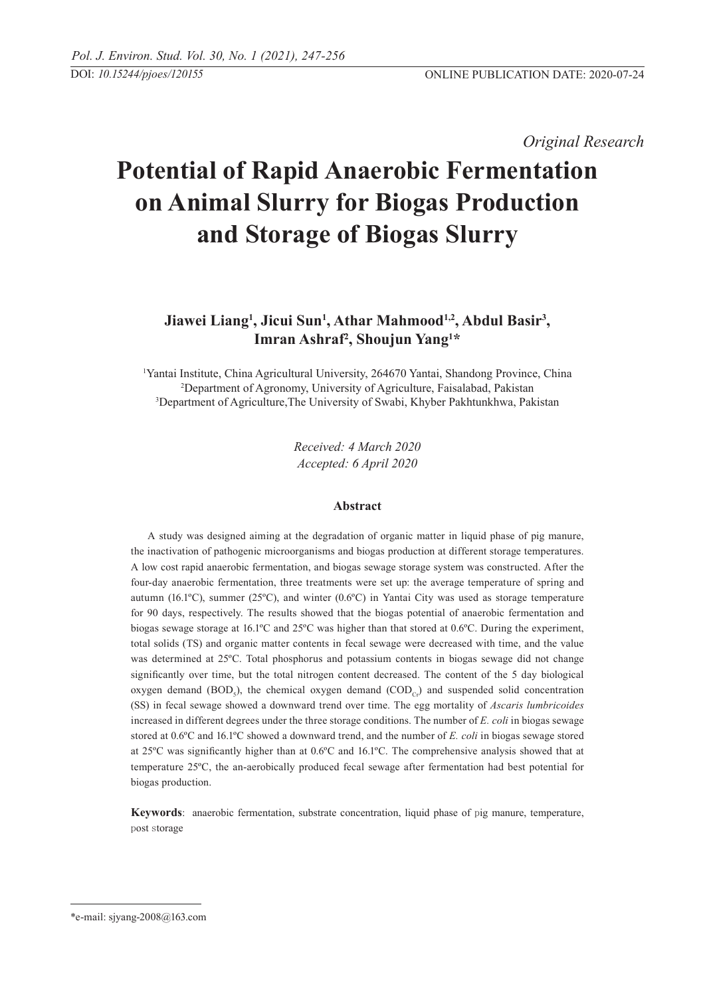*Original Research* 

# **Potential of Rapid Anaerobic Fermentation on Animal Slurry for Biogas Production and Storage of Biogas Slurry**

# Jiawei Liang<sup>1</sup>, Jicui Sun<sup>1</sup>, Athar Mahmood<sup>1,2</sup>, Abdul Basir<sup>3</sup>, **Imran Ashraf2 , Shoujun Yang1 \***

1 Yantai Institute, China Agricultural University, 264670 Yantai, Shandong Province, China 2 Department of Agronomy, University of Agriculture, Faisalabad, Pakistan 3 Department of Agriculture,The University of Swabi, Khyber Pakhtunkhwa, Pakistan

> *Received: 4 March 2020 Accepted: 6 April 2020*

#### **Abstract**

A study was designed aiming at the degradation of organic matter in liquid phase of pig manure, the inactivation of pathogenic microorganisms and biogas production at different storage temperatures. A low cost rapid anaerobic fermentation, and biogas sewage storage system was constructed. After the four-day anaerobic fermentation, three treatments were set up: the average temperature of spring and autumn (16.1 $^{\circ}$ C), summer (25 $^{\circ}$ C), and winter (0.6 $^{\circ}$ C) in Yantai City was used as storage temperature for 90 days, respectively. The results showed that the biogas potential of anaerobic fermentation and biogas sewage storage at 16.1ºC and 25ºC was higher than that stored at 0.6ºC. During the experiment, total solids (TS) and organic matter contents in fecal sewage were decreased with time, and the value was determined at 25ºC. Total phosphorus and potassium contents in biogas sewage did not change significantly over time, but the total nitrogen content decreased. The content of the 5 day biological oxygen demand  $(BOD<sub>s</sub>)$ , the chemical oxygen demand  $(COD<sub>Cr</sub>)$  and suspended solid concentration (SS) in fecal sewage showed a downward trend over time. The egg mortality of *Ascaris lumbricoides* increased in different degrees under the three storage conditions. The number of *E. coli* in biogas sewage stored at 0.6ºC and 16.1ºC showed a downward trend, and the number of *E. coli* in biogas sewage stored at 25ºC was significantly higher than at 0.6ºC and 16.1ºC. The comprehensive analysis showed that at temperature 25ºC, the an-aerobically produced fecal sewage after fermentation had best potential for biogas production.

**Keywords**: anaerobic fermentation, substrate concentration, liquid phase of pig manure, temperature, post storage

<sup>\*</sup>e-mail: sjyang-2008@163.com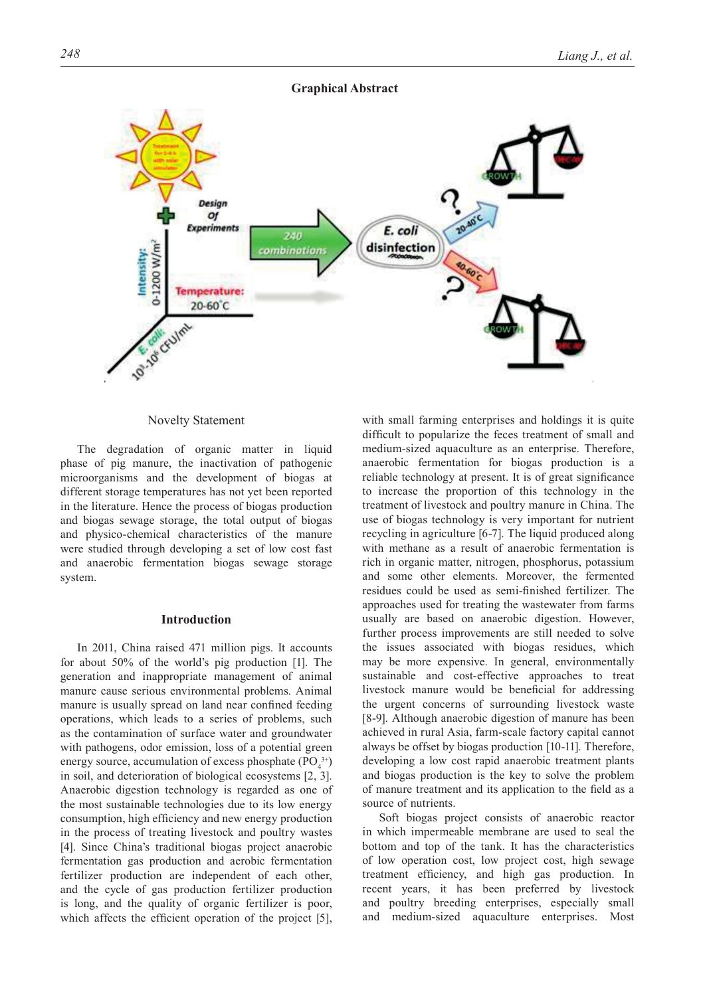## **Graphical Abstract**



Novelty Statement

The degradation of organic matter in liquid phase of pig manure, the inactivation of pathogenic microorganisms and the development of biogas at different storage temperatures has not yet been reported in the literature. Hence the process of biogas production and biogas sewage storage, the total output of biogas and physico-chemical characteristics of the manure were studied through developing a set of low cost fast and anaerobic fermentation biogas sewage storage system.

# **Introduction**

In 2011, China raised 471 million pigs. It accounts for about 50% of the world's pig production [1]. The generation and inappropriate management of animal manure cause serious environmental problems. Animal manure is usually spread on land near confined feeding operations, which leads to a series of problems, such as the contamination of surface water and groundwater with pathogens, odor emission, loss of a potential green energy source, accumulation of excess phosphate  $(PO_4^{3+})$ in soil, and deterioration of biological ecosystems [2, 3]. Anaerobic digestion technology is regarded as one of the most sustainable technologies due to its low energy consumption, high efficiency and new energy production in the process of treating livestock and poultry wastes [4]. Since China's traditional biogas project anaerobic fermentation gas production and aerobic fermentation fertilizer production are independent of each other, and the cycle of gas production fertilizer production is long, and the quality of organic fertilizer is poor, which affects the efficient operation of the project [5],

with small farming enterprises and holdings it is quite difficult to popularize the feces treatment of small and medium-sized aquaculture as an enterprise. Therefore, anaerobic fermentation for biogas production is a reliable technology at present. It is of great significance to increase the proportion of this technology in the treatment of livestock and poultry manure in China. The use of biogas technology is very important for nutrient recycling in agriculture [6-7]. The liquid produced along with methane as a result of anaerobic fermentation is rich in organic matter, nitrogen, phosphorus, potassium and some other elements. Moreover, the fermented residues could be used as semi-finished fertilizer. The approaches used for treating the wastewater from farms usually are based on anaerobic digestion. However, further process improvements are still needed to solve the issues associated with biogas residues, which may be more expensive. In general, environmentally sustainable and cost-effective approaches to treat livestock manure would be beneficial for addressing the urgent concerns of surrounding livestock waste [8-9]. Although anaerobic digestion of manure has been achieved in rural Asia, farm-scale factory capital cannot always be offset by biogas production [10-11]. Therefore, developing a low cost rapid anaerobic treatment plants and biogas production is the key to solve the problem of manure treatment and its application to the field as a source of nutrients.

Soft biogas project consists of anaerobic reactor in which impermeable membrane are used to seal the bottom and top of the tank. It has the characteristics of low operation cost, low project cost, high sewage treatment efficiency, and high gas production. In recent years, it has been preferred by livestock and poultry breeding enterprises, especially small and medium-sized aquaculture enterprises. Most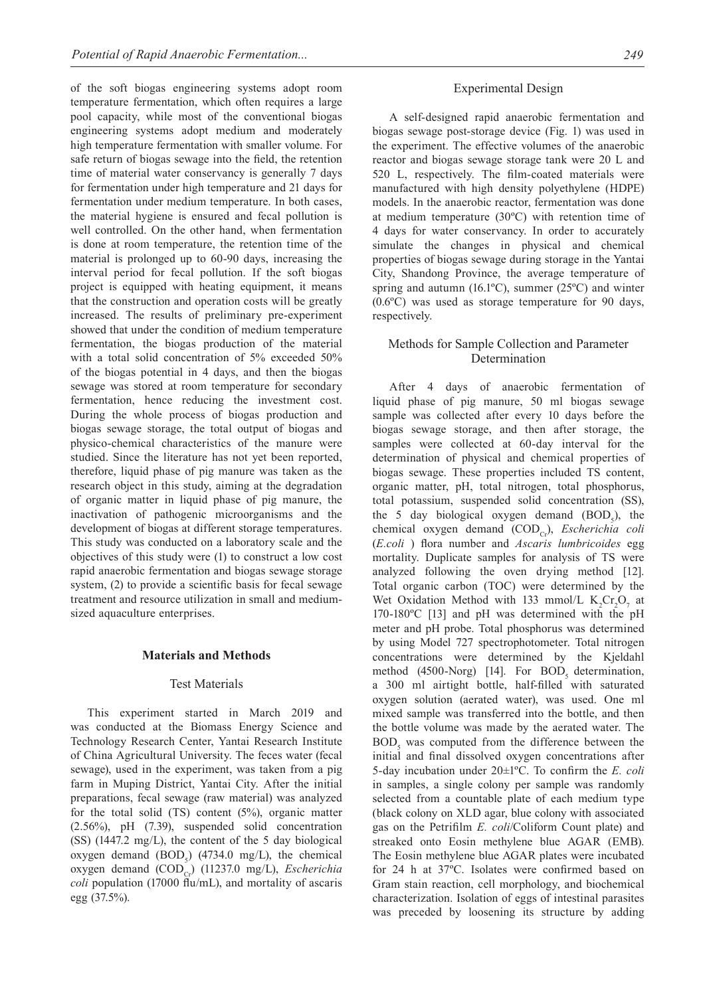of the soft biogas engineering systems adopt room temperature fermentation, which often requires a large pool capacity, while most of the conventional biogas engineering systems adopt medium and moderately high temperature fermentation with smaller volume. For safe return of biogas sewage into the field, the retention time of material water conservancy is generally 7 days for fermentation under high temperature and 21 days for fermentation under medium temperature. In both cases, the material hygiene is ensured and fecal pollution is well controlled. On the other hand, when fermentation is done at room temperature, the retention time of the material is prolonged up to 60-90 days, increasing the interval period for fecal pollution. If the soft biogas project is equipped with heating equipment, it means that the construction and operation costs will be greatly increased. The results of preliminary pre-experiment showed that under the condition of medium temperature fermentation, the biogas production of the material with a total solid concentration of 5% exceeded 50% of the biogas potential in 4 days, and then the biogas sewage was stored at room temperature for secondary fermentation, hence reducing the investment cost. During the whole process of biogas production and biogas sewage storage, the total output of biogas and physico-chemical characteristics of the manure were studied. Since the literature has not yet been reported, therefore, liquid phase of pig manure was taken as the research object in this study, aiming at the degradation of organic matter in liquid phase of pig manure, the inactivation of pathogenic microorganisms and the development of biogas at different storage temperatures. This study was conducted on a laboratory scale and the objectives of this study were (1) to construct a low cost rapid anaerobic fermentation and biogas sewage storage system, (2) to provide a scientific basis for fecal sewage treatment and resource utilization in small and mediumsized aquaculture enterprises.

# **Materials and methods**

#### Test Materials

This experiment started in March 2019 and was conducted at the Biomass Energy Science and Technology Research Center, Yantai Research Institute of China Agricultural University. The feces water (fecal sewage), used in the experiment, was taken from a pig farm in Muping District, Yantai City. After the initial preparations, fecal sewage (raw material) was analyzed for the total solid (TS) content (5%), organic matter (2.56%), pH (7.39), suspended solid concentration (SS) (1447.2 mg/L), the content of the 5 day biological oxygen demand  $(BOD<sub>s</sub>)$  (4734.0 mg/L), the chemical oxygen demand (COD<sub>C</sub>) (11237.0 mg/L), *Escherichia coli* population (17000 flu/mL), and mortality of ascaris egg (37.5%).

#### Experimental Design

A self-designed rapid anaerobic fermentation and biogas sewage post-storage device (Fig. 1) was used in the experiment. The effective volumes of the anaerobic reactor and biogas sewage storage tank were 20 L and 520 L, respectively. The film-coated materials were manufactured with high density polyethylene (HDPE) models. In the anaerobic reactor, fermentation was done at medium temperature (30ºC) with retention time of 4 days for water conservancy. In order to accurately simulate the changes in physical and chemical properties of biogas sewage during storage in the Yantai City, Shandong Province, the average temperature of spring and autumn (16.1 $^{\circ}$ C), summer (25 $^{\circ}$ C) and winter (0.6ºC) was used as storage temperature for 90 days, respectively.

# Methods for Sample Collection and Parameter Determination

After 4 days of anaerobic fermentation of liquid phase of pig manure, 50 ml biogas sewage sample was collected after every 10 days before the biogas sewage storage, and then after storage, the samples were collected at 60-day interval for the determination of physical and chemical properties of biogas sewage. These properties included TS content, organic matter, pH, total nitrogen, total phosphorus, total potassium, suspended solid concentration (SS), the 5 day biological oxygen demand  $(BOD<sub>5</sub>)$ , the chemical oxygen demand (COD<sub>Cr</sub>), *Escherichia coli* (*E.coli* ) flora number and *Ascaris lumbricoides* egg mortality. Duplicate samples for analysis of TS were analyzed following the oven drying method [12]. Total organic carbon (TOC) were determined by the Wet Oxidation Method with 133 mmol/L  $K_2Cr_2O_7$  at 170-180ºC [13] and pH was determined with the pH meter and pH probe. Total phosphorus was determined by using Model 727 spectrophotometer. Total nitrogen concentrations were determined by the Kjeldahl method (4500-Norg) [14]. For  $BOD<sub>s</sub>$  determination, a 300 ml airtight bottle, half-filled with saturated oxygen solution (aerated water), was used. One ml mixed sample was transferred into the bottle, and then the bottle volume was made by the aerated water. The  $BOD<sub>5</sub>$  was computed from the difference between the initial and final dissolved oxygen concentrations after 5-day incubation under 20±1ºC. To confirm the *E. coli* in samples, a single colony per sample was randomly selected from a countable plate of each medium type (black colony on XLD agar, blue colony with associated gas on the Petrifilm *E. coli*/Coliform Count plate) and streaked onto Eosin methylene blue AGAR (EMB). The Eosin methylene blue AGAR plates were incubated for 24 h at 37ºC. Isolates were confirmed based on Gram stain reaction, cell morphology, and biochemical characterization. Isolation of eggs of intestinal parasites was preceded by loosening its structure by adding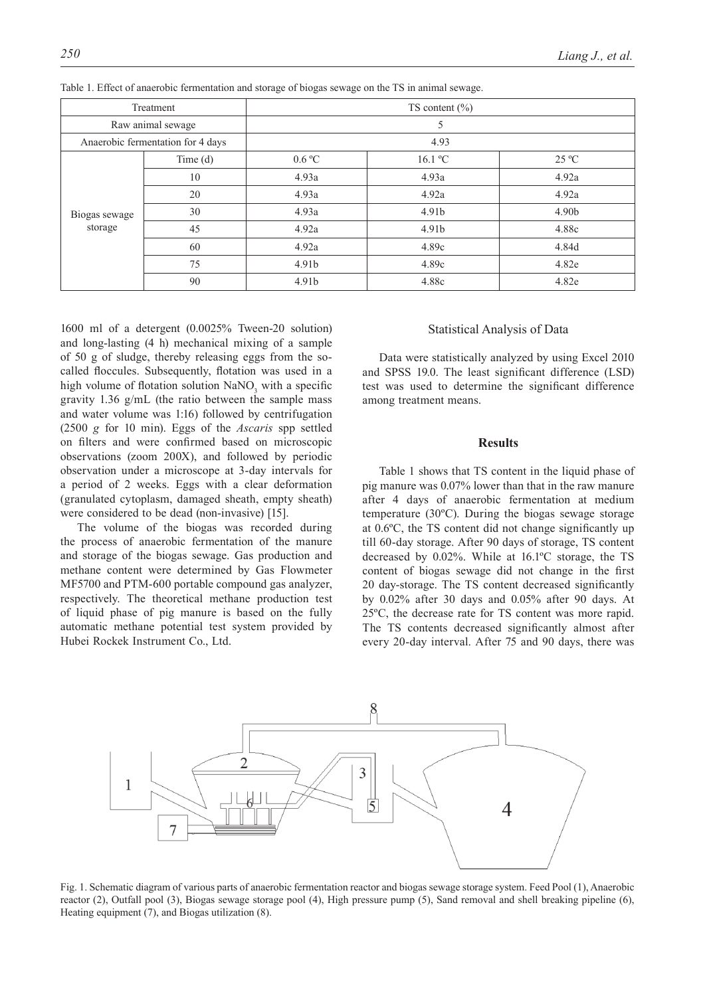| Treatment                         |         | TS content $(\% )$ |         |                |  |  |  |
|-----------------------------------|---------|--------------------|---------|----------------|--|--|--|
| Raw animal sewage                 |         | 5                  |         |                |  |  |  |
| Anaerobic fermentation for 4 days |         | 4.93               |         |                |  |  |  |
| Biogas sewage<br>storage          | Time(d) | 0.6 °C             | 16.1 °C | $25\text{ °C}$ |  |  |  |
|                                   | 10      | 4.93a              | 4.93a   | 4.92a          |  |  |  |
|                                   | 20      | 4.93a              | 4.92a   | 4.92a          |  |  |  |
|                                   | 30      | 4.93a              | 4.91b   | 4.90b          |  |  |  |
|                                   | 45      | 4.92a              | 4.91b   | 4.88c          |  |  |  |
|                                   | 60      | 4.92a              | 4.89c   | 4.84d          |  |  |  |
|                                   | 75      | 4.91b              | 4.89c   | 4.82e          |  |  |  |
|                                   | 90      | 4.91b              | 4.88c   | 4.82e          |  |  |  |

Table 1. Effect of anaerobic fermentation and storage of biogas sewage on the TS in animal sewage.

1600 ml of a detergent (0.0025% Tween-20 solution) and long-lasting (4 h) mechanical mixing of a sample of 50 g of sludge, thereby releasing eggs from the socalled floccules. Subsequently, flotation was used in a high volume of flotation solution  $\text{NaNO}_3$  with a specific gravity 1.36 g/mL (the ratio between the sample mass and water volume was 1:16) followed by centrifugation (2500 *g* for 10 min). Eggs of the *Ascaris* spp settled on filters and were confirmed based on microscopic observations (zoom 200X), and followed by periodic observation under a microscope at 3-day intervals for a period of 2 weeks. Eggs with a clear deformation (granulated cytoplasm, damaged sheath, empty sheath) were considered to be dead (non-invasive) [15].

The volume of the biogas was recorded during the process of anaerobic fermentation of the manure and storage of the biogas sewage. Gas production and methane content were determined by Gas Flowmeter MF5700 and PTM-600 portable compound gas analyzer, respectively. The theoretical methane production test of liquid phase of pig manure is based on the fully automatic methane potential test system provided by Hubei Rockek Instrument Co., Ltd.

# Statistical Analysis of Data

Data were statistically analyzed by using Excel 2010 and SPSS 19.0. The least significant difference (LSD) test was used to determine the significant difference among treatment means.

#### **Results**

Table 1 shows that TS content in the liquid phase of pig manure was 0.07% lower than that in the raw manure after 4 days of anaerobic fermentation at medium temperature (30ºC). During the biogas sewage storage at 0.6ºC, the TS content did not change significantly up till 60-day storage. After 90 days of storage, TS content decreased by 0.02%. While at 16.1ºC storage, the TS content of biogas sewage did not change in the first 20 day-storage. The TS content decreased significantly by 0.02% after 30 days and 0.05% after 90 days. At 25ºC, the decrease rate for TS content was more rapid. The TS contents decreased significantly almost after every 20-day interval. After 75 and 90 days, there was



Fig. 1. Schematic diagram of various parts of anaerobic fermentation reactor and biogas sewage storage system. Feed Pool (1), Anaerobic reactor (2), Outfall pool (3), Biogas sewage storage pool (4), High pressure pump (5), Sand removal and shell breaking pipeline (6), Heating equipment (7), and Biogas utilization (8).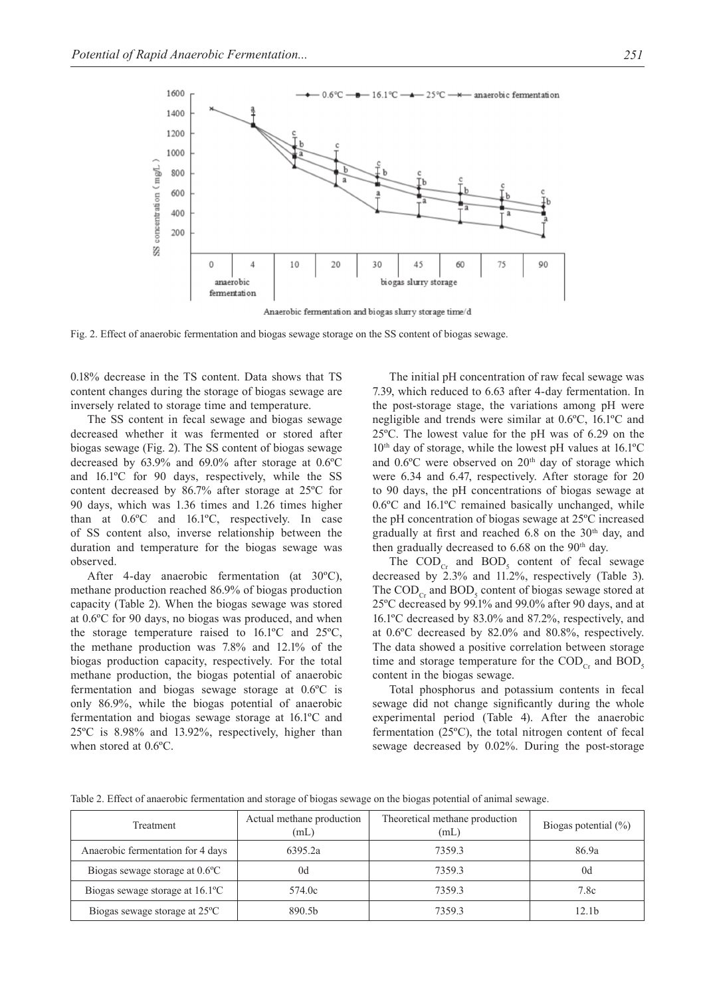

Fig. 2. Effect of anaerobic fermentation and biogas sewage storage on the SS content of biogas sewage.

0.18% decrease in the TS content. Data shows that TS content changes during the storage of biogas sewage are inversely related to storage time and temperature.

The SS content in fecal sewage and biogas sewage decreased whether it was fermented or stored after biogas sewage (Fig. 2). The SS content of biogas sewage decreased by 63.9% and 69.0% after storage at 0.6ºC and 16.1ºC for 90 days, respectively, while the SS content decreased by 86.7% after storage at 25ºC for 90 days, which was 1.36 times and 1.26 times higher than at 0.6ºC and 16.1ºC, respectively. In case of SS content also, inverse relationship between the duration and temperature for the biogas sewage was observed.

After 4-day anaerobic fermentation (at 30ºC), methane production reached 86.9% of biogas production capacity (Table 2). When the biogas sewage was stored at 0.6ºC for 90 days, no biogas was produced, and when the storage temperature raised to 16.1ºC and 25ºC, the methane production was 7.8% and 12.1% of the biogas production capacity, respectively. For the total methane production, the biogas potential of anaerobic fermentation and biogas sewage storage at 0.6ºC is only 86.9%, while the biogas potential of anaerobic fermentation and biogas sewage storage at 16.1ºC and 25ºC is 8.98% and 13.92%, respectively, higher than when stored at 0.6ºC.

The initial pH concentration of raw fecal sewage was 7.39, which reduced to 6.63 after 4-day fermentation. In the post-storage stage, the variations among pH were negligible and trends were similar at 0.6ºC, 16.1ºC and 25ºC. The lowest value for the pH was of 6.29 on the  $10<sup>th</sup>$  day of storage, while the lowest pH values at  $16.1^{\circ}$ C and 0.6°C were observed on 20<sup>th</sup> day of storage which were 6.34 and 6.47, respectively. After storage for 20 to 90 days, the pH concentrations of biogas sewage at 0.6ºC and 16.1ºC remained basically unchanged, while the pH concentration of biogas sewage at 25ºC increased gradually at first and reached  $6.8$  on the  $30<sup>th</sup>$  day, and then gradually decreased to  $6.68$  on the  $90<sup>th</sup>$  day.

The  $\text{COD}_{\text{Cr}}$  and  $\text{BOD}_{\text{S}}$  content of fecal sewage decreased by 2.3% and 11.2%, respectively (Table 3). The  $\text{COD}_{\text{Cr}}$  and  $\text{BOD}_{\text{S}}$  content of biogas sewage stored at 25ºC decreased by 99.1% and 99.0% after 90 days, and at 16.1ºC decreased by 83.0% and 87.2%, respectively, and at 0.6ºC decreased by 82.0% and 80.8%, respectively. The data showed a positive correlation between storage time and storage temperature for the  $\text{COD}_{c_r}$  and  $\text{BOD}_s$ content in the biogas sewage.

Total phosphorus and potassium contents in fecal sewage did not change significantly during the whole experimental period (Table 4). After the anaerobic fermentation (25ºC), the total nitrogen content of fecal sewage decreased by 0.02%. During the post-storage

| Treatment                                  | Actual methane production<br>(mL) | Theoretical methane production<br>(mL) | Biogas potential $(\% )$ |  |
|--------------------------------------------|-----------------------------------|----------------------------------------|--------------------------|--|
| Anaerobic fermentation for 4 days          | 6395.2a                           | 73593                                  | 86.9a                    |  |
| Biogas sewage storage at 0.6°C             | 0d                                | 7359.3                                 | 0d                       |  |
| Biogas sewage storage at $16.1^{\circ}$ C  | 574.0c                            | 7359.3                                 | 7.8c                     |  |
| Biogas sewage storage at 25 <sup>o</sup> C | 890.5 <sub>h</sub>                | 7359.3                                 | 12.1b                    |  |

Table 2. Effect of anaerobic fermentation and storage of biogas sewage on the biogas potential of animal sewage.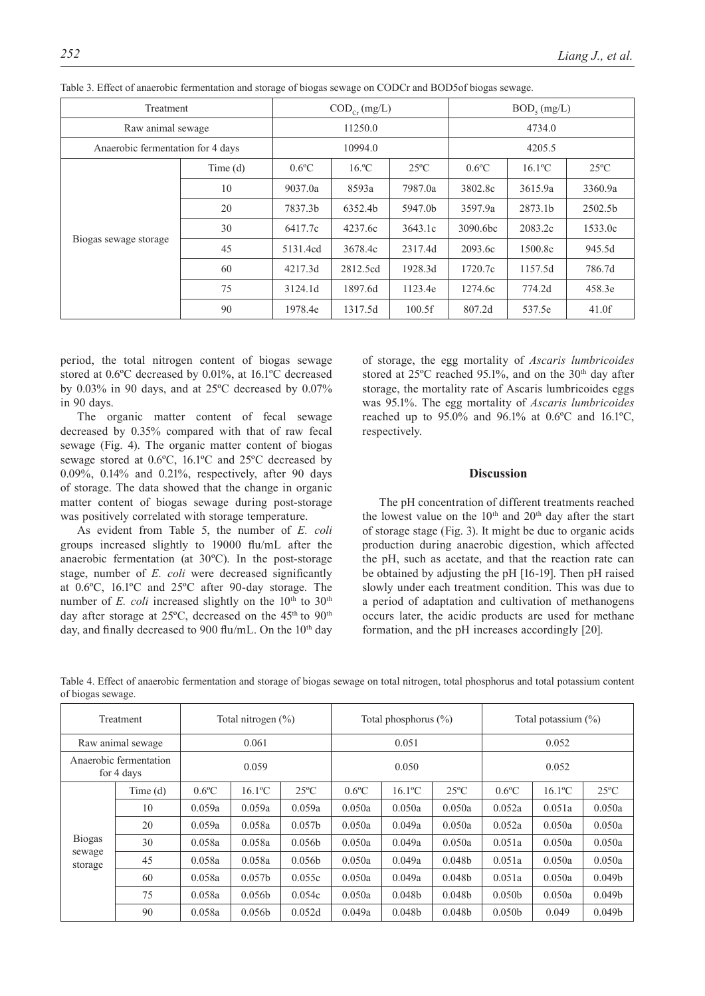| Treatment                         | $\mathrm{COD}_{_{\mathrm{Cr}}}(\mathrm{mg/L})$ |          |          | $BOD_{5}$ (mg/L) |          |                       |                |
|-----------------------------------|------------------------------------------------|----------|----------|------------------|----------|-----------------------|----------------|
| Raw animal sewage                 |                                                | 11250.0  |          |                  | 4734.0   |                       |                |
| Anaerobic fermentation for 4 days |                                                | 10994.0  |          |                  | 4205.5   |                       |                |
|                                   | Time(d)                                        | $0.6$ °C | $16.$ °C | $25^{\circ}$ C   | $0.6$ °C | $16.1$ <sup>o</sup> C | $25^{\circ}$ C |
|                                   | 10                                             | 9037.0a  | 8593a    | 7987.0a          | 3802.8c  | 3615.9a               | 3360.9a        |
|                                   | 20                                             | 7837.3b  | 6352.4b  | 5947.0b          | 3597.9a  | 2873.1b               | 2502.5b        |
|                                   | 30                                             | 6417.7c  | 4237.6c  | 3643.1c          | 3090.6bc | 2083.2c               | 1533.0c        |
| Biogas sewage storage             | 45                                             | 5131.4cd | 3678.4c  | 2317.4d          | 2093.6c  | 1500.8c               | 945.5d         |
|                                   | 60                                             | 4217.3d  | 2812.5cd | 1928.3d          | 1720.7c  | 1157.5d               | 786.7d         |
|                                   | 75                                             | 3124.1d  | 1897.6d  | 1123.4e          | 1274.6c  | 774.2d                | 458.3e         |
|                                   | 90                                             | 1978.4e  | 1317.5d  | 100.5f           | 807.2d   | 537.5e                | 41.0f          |

Table 3. Effect of anaerobic fermentation and storage of biogas sewage on CODCr and BOD5of biogas sewage.

period, the total nitrogen content of biogas sewage stored at 0.6ºC decreased by 0.01%, at 16.1ºC decreased by 0.03% in 90 days, and at 25ºC decreased by 0.07% in 90 days.

The organic matter content of fecal sewage decreased by 0.35% compared with that of raw fecal sewage (Fig. 4). The organic matter content of biogas sewage stored at 0.6ºC, 16.1ºC and 25ºC decreased by 0.09%, 0.14% and 0.21%, respectively, after 90 days of storage. The data showed that the change in organic matter content of biogas sewage during post-storage was positively correlated with storage temperature.

As evident from Table 5, the number of *E. coli* groups increased slightly to 19000 flu/mL after the anaerobic fermentation (at 30ºC). In the post-storage stage, number of *E. coli* were decreased significantly at 0.6ºC, 16.1ºC and 25ºC after 90-day storage. The number of  $E$ . *coli* increased slightly on the  $10<sup>th</sup>$  to  $30<sup>th</sup>$ day after storage at 25°C, decreased on the 45<sup>th</sup> to 90<sup>th</sup> day, and finally decreased to 900 flu/mL. On the 10<sup>th</sup> day

of storage, the egg mortality of *Ascaris lumbricoides* stored at  $25^{\circ}$ C reached 95.1%, and on the  $30^{\text{th}}$  day after storage, the mortality rate of Ascaris lumbricoides eggs was 95.1%. The egg mortality of *Ascaris lumbricoides* reached up to 95.0% and 96.1% at 0.6ºC and 16.1ºC, respectively.

#### **Discussion**

The pH concentration of different treatments reached the lowest value on the  $10<sup>th</sup>$  and  $20<sup>th</sup>$  day after the start of storage stage (Fig. 3). It might be due to organic acids production during anaerobic digestion, which affected the pH, such as acetate, and that the reaction rate can be obtained by adjusting the pH [16-19]. Then pH raised slowly under each treatment condition. This was due to a period of adaptation and cultivation of methanogens occurs later, the acidic products are used for methane formation, and the pH increases accordingly [20].

| Treatment                            |         | Total nitrogen $(\% )$ |                       |                    | Total phosphorus $(\% )$ |                       |                    | Total potassium $(\%)$ |                       |                    |
|--------------------------------------|---------|------------------------|-----------------------|--------------------|--------------------------|-----------------------|--------------------|------------------------|-----------------------|--------------------|
| Raw animal sewage                    |         | 0.061                  |                       |                    | 0.051                    |                       |                    | 0.052                  |                       |                    |
| Anaerobic fermentation<br>for 4 days |         | 0.059                  |                       |                    | 0.050                    |                       |                    | 0.052                  |                       |                    |
|                                      | Time(d) | $0.6$ °C               | $16.1$ <sup>o</sup> C | $25^{\circ}$ C     | $0.6$ <sup>o</sup> $C$   | $16.1$ <sup>o</sup> C | $25^{\circ}$ C     | $0.6$ °C               | $16.1$ <sup>o</sup> C | $25^{\circ}$ C     |
|                                      | 10      | 0.059a                 | 0.059a                | 0.059a             | 0.050a                   | 0.050a                | 0.050a             | 0.052a                 | 0.051a                | 0.050a             |
|                                      | 20      | 0.059a                 | 0.058a                | 0.057 <sub>b</sub> | 0.050a                   | 0.049a                | 0.050a             | 0.052a                 | 0.050a                | 0.050a             |
| <b>Biogas</b>                        | 30      | 0.058a                 | 0.058a                | 0.056 <sub>b</sub> | 0.050a                   | 0.049a                | 0.050a             | 0.051a                 | 0.050a                | 0.050a             |
| sewage<br>storage                    | 45      | 0.058a                 | 0.058a                | 0.056 <sub>b</sub> | 0.050a                   | 0.049a                | 0.048 <sub>b</sub> | 0.051a                 | 0.050a                | 0.050a             |
|                                      | 60      | 0.058a                 | 0.057 <sub>b</sub>    | 0.055c             | 0.050a                   | 0.049a                | 0.048 <sub>b</sub> | 0.051a                 | 0.050a                | 0.049 <sub>b</sub> |
|                                      | 75      | 0.058a                 | 0.056 <sub>b</sub>    | 0.054c             | 0.050a                   | 0.048 <sub>b</sub>    | 0.048 <sub>b</sub> | 0.050 <sub>b</sub>     | 0.050a                | 0.049 <sub>b</sub> |
|                                      | 90      | 0.058a                 | 0.056 <sub>b</sub>    | 0.052d             | 0.049a                   | 0.048 <sub>b</sub>    | 0.048 <sub>b</sub> | 0.050 <sub>b</sub>     | 0.049                 | 0.049 <sub>b</sub> |

Table 4. Effect of anaerobic fermentation and storage of biogas sewage on total nitrogen, total phosphorus and total potassium content of biogas sewage.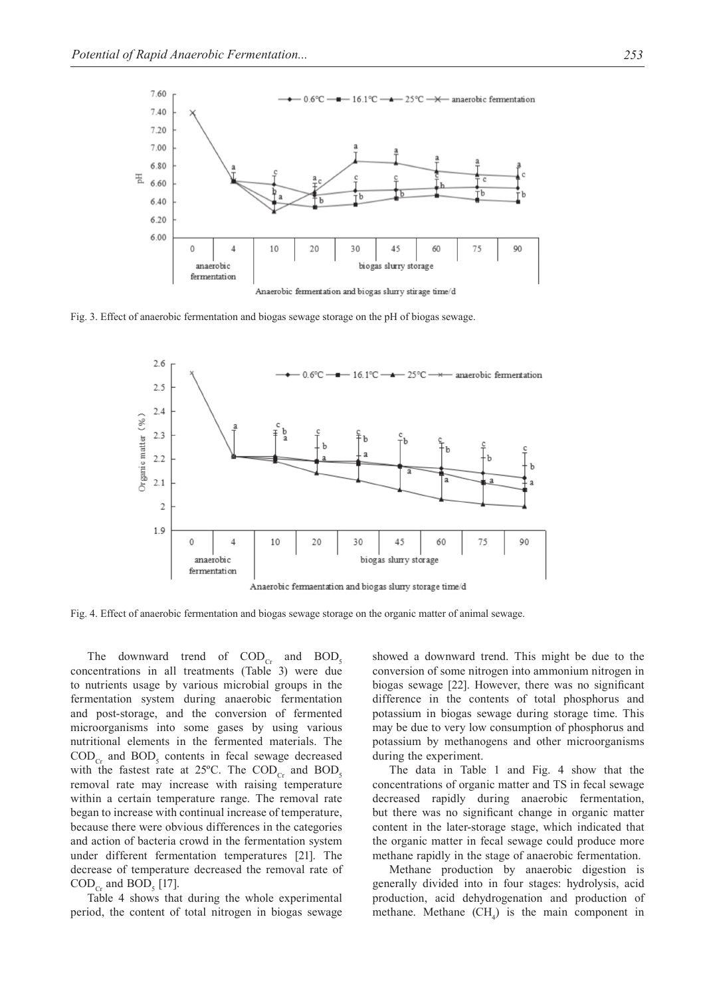

Fig. 3. Effect of anaerobic fermentation and biogas sewage storage on the pH of biogas sewage.



Fig. 4. Effect of anaerobic fermentation and biogas sewage storage on the organic matter of animal sewage.

The downward trend of  $\text{COD}_{\text{Cr}}$  and  $\text{BOD}_5$ concentrations in all treatments (Table 3) were due to nutrients usage by various microbial groups in the fermentation system during anaerobic fermentation and post-storage, and the conversion of fermented microorganisms into some gases by using various nutritional elements in the fermented materials. The  $\text{COD}_{\text{Cr}}$  and  $\text{BOD}_{5}$  contents in fecal sewage decreased with the fastest rate at 25°C. The  $\text{COD}_{\text{Cr}}$  and  $\text{BOD}_{\text{s}}$ removal rate may increase with raising temperature within a certain temperature range. The removal rate began to increase with continual increase of temperature, because there were obvious differences in the categories and action of bacteria crowd in the fermentation system under different fermentation temperatures [21]. The decrease of temperature decreased the removal rate of  $\mathrm{COD}_{\mathrm{Cr}}$  and  $\mathrm{BOD}_{5}$  [17].

Table 4 shows that during the whole experimental period, the content of total nitrogen in biogas sewage

showed a downward trend. This might be due to the conversion of some nitrogen into ammonium nitrogen in biogas sewage [22]. However, there was no significant difference in the contents of total phosphorus and potassium in biogas sewage during storage time. This may be due to very low consumption of phosphorus and potassium by methanogens and other microorganisms during the experiment.

The data in Table 1 and Fig. 4 show that the concentrations of organic matter and TS in fecal sewage decreased rapidly during anaerobic fermentation, but there was no significant change in organic matter content in the later-storage stage, which indicated that the organic matter in fecal sewage could produce more methane rapidly in the stage of anaerobic fermentation.

Methane production by anaerobic digestion is generally divided into in four stages: hydrolysis, acid production, acid dehydrogenation and production of methane. Methane  $(CH_4)$  is the main component in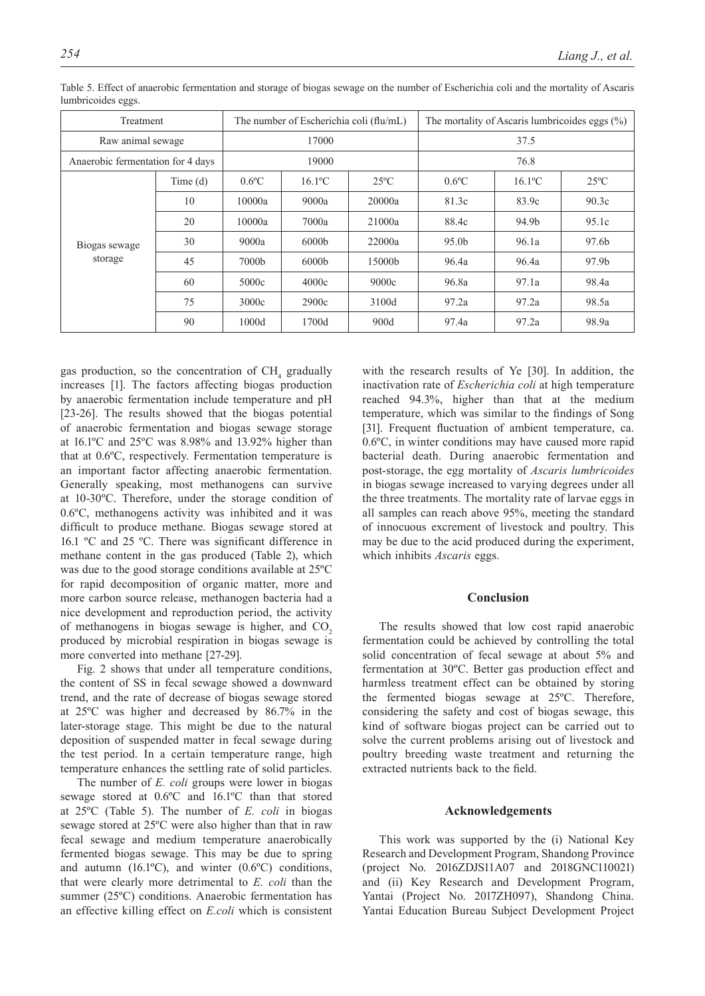| Treatment                         |         |                   | The number of Escherichia coli (flu/mL) |                | The mortality of Ascaris lumbricoides eggs $(\%)$ |                       |                |
|-----------------------------------|---------|-------------------|-----------------------------------------|----------------|---------------------------------------------------|-----------------------|----------------|
| Raw animal sewage                 |         |                   | 17000                                   |                | 37.5                                              |                       |                |
| Anaerobic fermentation for 4 days |         | 19000             |                                         |                | 76.8                                              |                       |                |
| Biogas sewage<br>storage          | Time(d) | $0.6$ °C          | $16.1$ <sup>o</sup> C                   | $25^{\circ}$ C | $0.6$ °C                                          | $16.1$ <sup>o</sup> C | $25^{\circ}$ C |
|                                   | 10      | 10000a            | 9000a                                   | 20000a         | 81.3c                                             | 83.9c                 | 90.3c          |
|                                   | 20      | 10000a            | 7000a                                   | 21000a         | 88.4c                                             | 94.9b                 | 95.1c          |
|                                   | 30      | 9000a             | 6000 <sub>b</sub>                       | 22000a         | 95.0 <sub>b</sub>                                 | 96.1a                 | 97.6b          |
|                                   | 45      | 7000 <sub>b</sub> | 6000 <sub>b</sub>                       | 15000b         | 96.4a                                             | 96.4a                 | 97.9b          |
|                                   | 60      | 5000c             | 4000c                                   | 9000c          | 96.8a                                             | 97.1a                 | 98.4a          |
|                                   | 75      | 3000c             | 2900c                                   | 3100d          | 97.2a                                             | 97.2a                 | 98.5a          |
|                                   | 90      | 1000d             | 1700d                                   | 900d           | 97.4a                                             | 97.2a                 | 98.9a          |

Table 5. Effect of anaerobic fermentation and storage of biogas sewage on the number of Escherichia coli and the mortality of Ascaris lumbricoides eggs.

gas production, so the concentration of  $CH<sub>4</sub>$  gradually increases [1]. The factors affecting biogas production by anaerobic fermentation include temperature and pH [23-26]. The results showed that the biogas potential of anaerobic fermentation and biogas sewage storage at 16.1ºC and 25ºC was 8.98% and 13.92% higher than that at 0.6ºC, respectively. Fermentation temperature is an important factor affecting anaerobic fermentation. Generally speaking, most methanogens can survive at 10-30ºC. Therefore, under the storage condition of 0.6ºC, methanogens activity was inhibited and it was difficult to produce methane. Biogas sewage stored at 16.1 ºC and 25 ºC. There was significant difference in methane content in the gas produced (Table 2), which was due to the good storage conditions available at 25ºC for rapid decomposition of organic matter, more and more carbon source release, methanogen bacteria had a nice development and reproduction period, the activity of methanogens in biogas sewage is higher, and CO<sub>2</sub> produced by microbial respiration in biogas sewage is more converted into methane [27-29].

Fig. 2 shows that under all temperature conditions, the content of SS in fecal sewage showed a downward trend, and the rate of decrease of biogas sewage stored at 25ºC was higher and decreased by 86.7% in the later-storage stage. This might be due to the natural deposition of suspended matter in fecal sewage during the test period. In a certain temperature range, high temperature enhances the settling rate of solid particles.

The number of *E. coli* groups were lower in biogas sewage stored at 0.6ºC and 16.1ºC than that stored at 25ºC (Table 5). The number of *E. coli* in biogas sewage stored at 25ºC were also higher than that in raw fecal sewage and medium temperature anaerobically fermented biogas sewage. This may be due to spring and autumn  $(16.1^{\circ}C)$ , and winter  $(0.6^{\circ}C)$  conditions, that were clearly more detrimental to *E. coli* than the summer (25ºC) conditions. Anaerobic fermentation has an effective killing effect on *E.coli* which is consistent

with the research results of Ye [30]. In addition, the inactivation rate of *Escherichia coli* at high temperature reached 94.3%, higher than that at the medium temperature, which was similar to the findings of Song [31]. Frequent fluctuation of ambient temperature, ca. 0.6ºC, in winter conditions may have caused more rapid bacterial death. During anaerobic fermentation and post-storage, the egg mortality of *Ascaris lumbricoides* in biogas sewage increased to varying degrees under all the three treatments. The mortality rate of larvae eggs in all samples can reach above 95%, meeting the standard of innocuous excrement of livestock and poultry. This may be due to the acid produced during the experiment, which inhibits *Ascaris* eggs.

# **Conclusion**

The results showed that low cost rapid anaerobic fermentation could be achieved by controlling the total solid concentration of fecal sewage at about 5% and fermentation at 30ºC. Better gas production effect and harmless treatment effect can be obtained by storing the fermented biogas sewage at 25ºC. Therefore, considering the safety and cost of biogas sewage, this kind of software biogas project can be carried out to solve the current problems arising out of livestock and poultry breeding waste treatment and returning the extracted nutrients back to the field.

### **Acknowledgements**

This work was supported by the (i) National Key Research and Development Program, Shandong Province (project No. 2016ZDJS11A07 and 2018GNC110021) and (ii) Key Research and Development Program, Yantai (Project No. 2017ZH097), Shandong China. Yantai Education Bureau Subject Development Project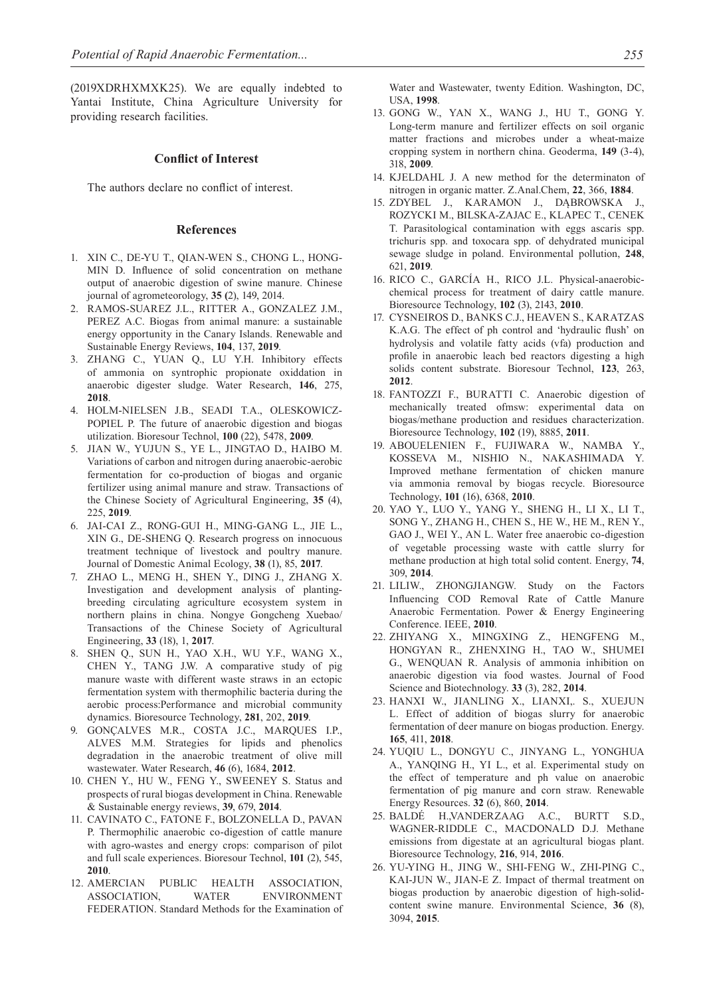(2019XDRHXMXK25). We are equally indebted to Yantai Institute, China Agriculture University for providing research facilities.

#### **Conflict of Interest**

The authors declare no conflict of interest.

#### **References**

- 1. XIN C., DE-YU T., QIAN-WEN S., CHONG L., HONG-MIN D. Influence of solid concentration on methane output of anaerobic digestion of swine manure. Chinese journal of agrometeorology, **35 (**2), 149, 2014.
- 2. RAMOS-SUAREZ J.L., RITTER A., GONZALEZ J.M., PEREZ A.C. Biogas from animal manure: a sustainable energy opportunity in the Canary Islands. Renewable and Sustainable Energy Reviews, **104**, 137, **2019**.
- 3. ZHANG C., YUAN Q., LU Y.H. Inhibitory effects of ammonia on syntrophic propionate oxiddation in anaerobic digester sludge. Water Research, **146**, 275, **2018**.
- 4. HOLM-NIELSEN J.B., SEADI T.A., OLESKOWICZ-POPIEL P. The future of anaerobic digestion and biogas utilization. Bioresour Technol, **100** (22), 5478, **2009**.
- 5. JIAN W., YUJUN S., YE L., JINGTAO D., HAIBO M. Variations of carbon and nitrogen during anaerobic-aerobic fermentation for co-production of biogas and organic fertilizer using animal manure and straw. Transactions of the Chinese Society of Agricultural Engineering, **35** (4), 225, **2019**.
- 6. JAI-CAI Z., RONG-GUI H., MING-GANG L., JIE L., XIN G., DE-SHENG Q. Research progress on innocuous treatment technique of livestock and poultry manure. Journal of Domestic Animal Ecology, **38** (1), 85, **2017**.
- 7. ZHAO L., MENG H., SHEN Y., DING J., ZHANG X. Investigation and development analysis of plantingbreeding circulating agriculture ecosystem system in northern plains in china. Nongye Gongcheng Xuebao/ Transactions of the Chinese Society of Agricultural Engineering, **33** (18), 1, **2017**.
- 8. SHEN Q., SUN H., YAO X.H., WU Y.F., WANG X., CHEN Y., TANG J.W. A comparative study of pig manure waste with different waste straws in an ectopic fermentation system with thermophilic bacteria during the aerobic process:Performance and microbial community dynamics. Bioresource Technology, **281**, 202, **2019**.
- 9. GONÇALVES M.R., COSTA J.C., MARQUES I.P., ALVES M.M. Strategies for lipids and phenolics degradation in the anaerobic treatment of olive mill wastewater. Water Research, **46** (6), 1684, **2012**.
- 10. CHEN Y., HU W., FENG Y., SWEENEY S. Status and prospects of rural biogas development in China. Renewable & Sustainable energy reviews, **39**, 679, **2014**.
- 11. CAVINATO C., FATONE F., BOLZONELLA D., PAVAN P. Thermophilic anaerobic co-digestion of cattle manure with agro-wastes and energy crops: comparison of pilot and full scale experiences. Bioresour Technol, **101** (2), 545, **2010**.
- 12. AMERCIAN PUBLIC HEALTH ASSOCIATION, ASSOCIATION, WATER ENVIRONMENT FEDERATION. Standard Methods for the Examination of

Water and Wastewater, twenty Edition. Washington, DC, USA, **1998**.

- 13. GONG W., YAN X., WANG J., HU T., GONG Y. Long-term manure and fertilizer effects on soil organic matter fractions and microbes under a wheat-maize cropping system in northern china. Geoderma, **149** (3-4), 318, **2009**.
- 14. KJELDAHL J. A new method for the determinaton of nitrogen in organic matter. Z.Anal.Chem, **22**, 366, **1884**.
- 15. ZDYBEL J., KARAMON J., DĄBROWSKA J., ROZYCKI M., BILSKA-ZAJAC E., KLAPEC T., CENEK T. Parasitological contamination with eggs ascaris spp. trichuris spp. and toxocara spp. of dehydrated municipal sewage sludge in poland. Environmental pollution, **248**, 621, **2019**.
- 16. RICO C., GARCÍA H., RICO J.L. Physical-anaerobicchemical process for treatment of dairy cattle manure. Bioresource Technology, **102** (3), 2143, **2010**.
- 17. CYSNEIROS D., BANKS C.J., HEAVEN S., KARATZAS K.A.G. The effect of ph control and 'hydraulic flush' on hydrolysis and volatile fatty acids (vfa) production and profile in anaerobic leach bed reactors digesting a high solids content substrate. Bioresour Technol, **123**, 263, **2012**.
- 18. FANTOZZI F., BURATTI C. Anaerobic digestion of mechanically treated ofmsw: experimental data on biogas/methane production and residues characterization. Bioresource Technology, **102** (19), 8885, **2011**.
- 19. ABOUELENIEN F., FUJIWARA W., NAMBA Y., KOSSEVA M., NISHIO N., NAKASHIMADA Y. Improved methane fermentation of chicken manure via ammonia removal by biogas recycle. Bioresource Technology, **101** (16), 6368, **2010**.
- 20. YAO Y., LUO Y., YANG Y., SHENG H., LI X., LI T., SONG Y., ZHANG H., CHEN S., HE W., HE M., REN Y., GAO J., WEI Y., AN L. Water free anaerobic co-digestion of vegetable processing waste with cattle slurry for methane production at high total solid content. Energy, **74**, 309, **2014**.
- 21. LILIW., ZHONGJIANGW. Study on the Factors Influencing COD Removal Rate of Cattle Manure Anaerobic Fermentation. Power & Energy Engineering Conference. IEEE, **2010**.
- 22. ZHIYANG X., MINGXING Z., HENGFENG M., HONGYAN R., ZHENXING H., TAO W., SHUMEI G., WENQUAN R. Analysis of ammonia inhibition on anaerobic digestion via food wastes. Journal of Food Science and Biotechnology. **33** (3), 282, **2014**.
- 23. Hanxi W., Jianling X., Lianxi,. S., Xuejun L. Effect of addition of biogas slurry for anaerobic fermentation of deer manure on biogas production. Energy. **165**, 411, **2018**.
- 24. YUQIU L., DONGYU C., JINYANG L., YONGHUA A., YANQING H., YI L., et al. Experimental study on the effect of temperature and ph value on anaerobic fermentation of pig manure and corn straw. Renewable Energy Resources. **32** (6), 860, **2014**.
- 25. BALDÉ H.,VANDERZAAG A.C., BURTT S.D., WAGNER-RIDDLE C., MACDONALD D.J. Methane emissions from digestate at an agricultural biogas plant. Bioresource Technology, **216**, 914, **2016**.
- 26. YU-YING H., JING W., SHI-FENG W., ZHI-PING C., KAI-JUN W., JIAN-E Z. Impact of thermal treatment on biogas production by anaerobic digestion of high-solidcontent swine manure. Environmental Science, **36** (8), 3094, **2015**.